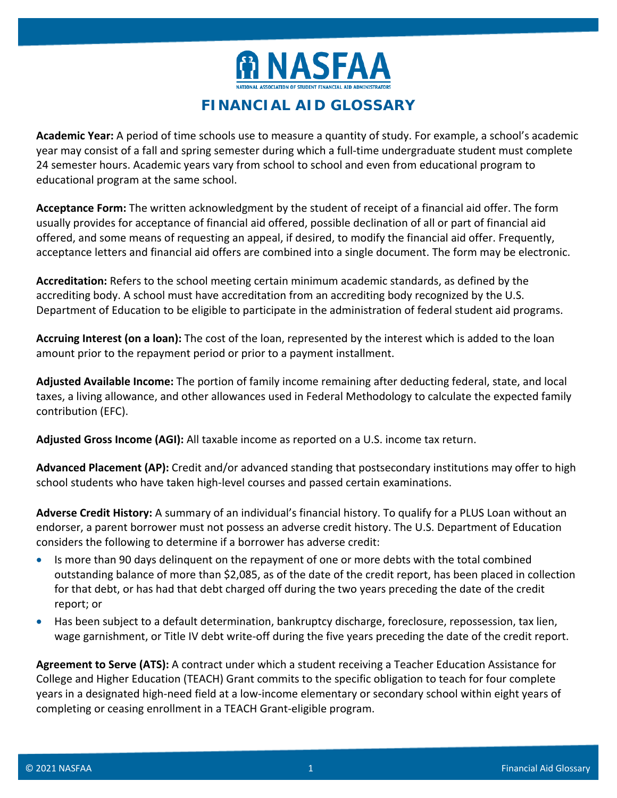

## **FINANCIAL AID GLOSSARY**

**Academic Year:** A period of time schools use to measure a quantity of study. For example, a school's academic year may consist of a fall and spring semester during which a full-time undergraduate student must complete 24 semester hours. Academic years vary from school to school and even from educational program to educational program at the same school.

**Acceptance Form:** The written acknowledgment by the student of receipt of a financial aid offer. The form usually provides for acceptance of financial aid offered, possible declination of all or part of financial aid offered, and some means of requesting an appeal, if desired, to modify the financial aid offer. Frequently, acceptance letters and financial aid offers are combined into a single document. The form may be electronic.

**Accreditation:** Refers to the school meeting certain minimum academic standards, as defined by the accrediting body. A school must have accreditation from an accrediting body recognized by the U.S. Department of Education to be eligible to participate in the administration of federal student aid programs.

**Accruing Interest (on a loan):** The cost of the loan, represented by the interest which is added to the loan amount prior to the repayment period or prior to a payment installment.

**Adjusted Available Income:** The portion of family income remaining after deducting federal, state, and local taxes, a living allowance, and other allowances used in Federal Methodology to calculate the expected family contribution (EFC).

**Adjusted Gross Income (AGI):** All taxable income as reported on a U.S. income tax return.

**Advanced Placement (AP):** Credit and/or advanced standing that postsecondary institutions may offer to high school students who have taken high-level courses and passed certain examinations.

**Adverse Credit History:** A summary of an individual's financial history. To qualify for a PLUS Loan without an endorser, a parent borrower must not possess an adverse credit history. The U.S. Department of Education considers the following to determine if a borrower has adverse credit:

- Is more than 90 days delinquent on the repayment of one or more debts with the total combined outstanding balance of more than \$2,085, as of the date of the credit report, has been placed in collection for that debt, or has had that debt charged off during the two years preceding the date of the credit report; or
- Has been subject to a default determination, bankruptcy discharge, foreclosure, repossession, tax lien, wage garnishment, or Title IV debt write-off during the five years preceding the date of the credit report.

**Agreement to Serve (ATS):** A contract under which a student receiving a Teacher Education Assistance for College and Higher Education (TEACH) Grant commits to the specific obligation to teach for four complete years in a designated high-need field at a low-income elementary or secondary school within eight years of completing or ceasing enrollment in a TEACH Grant-eligible program.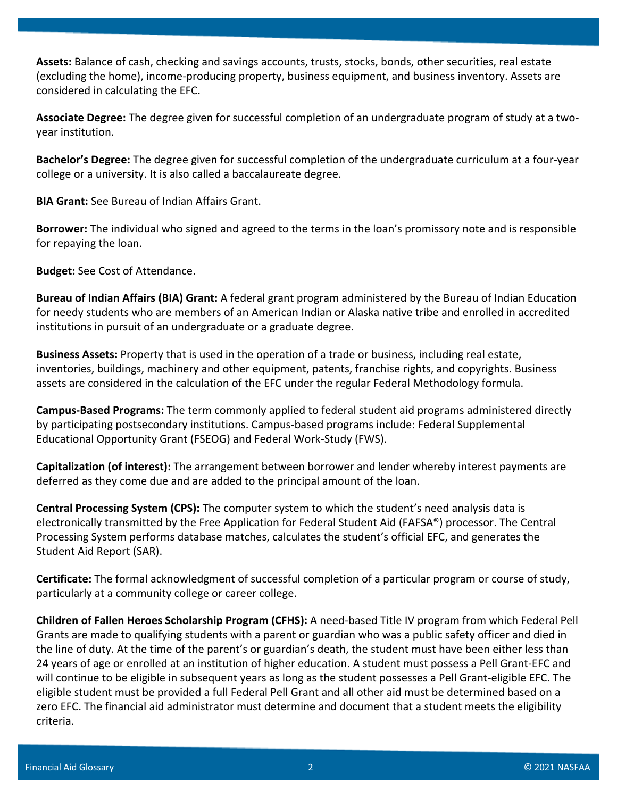**Assets:** Balance of cash, checking and savings accounts, trusts, stocks, bonds, other securities, real estate (excluding the home), income-producing property, business equipment, and business inventory. Assets are considered in calculating the EFC.

**Associate Degree:** The degree given for successful completion of an undergraduate program of study at a twoyear institution.

**Bachelor's Degree:** The degree given for successful completion of the undergraduate curriculum at a four-year college or a university. It is also called a baccalaureate degree.

**BIA Grant:** See Bureau of Indian Affairs Grant.

**Borrower:** The individual who signed and agreed to the terms in the loan's promissory note and is responsible for repaying the loan.

**Budget:** See Cost of Attendance.

**Bureau of Indian Affairs (BIA) Grant:** A federal grant program administered by the Bureau of Indian Education for needy students who are members of an American Indian or Alaska native tribe and enrolled in accredited institutions in pursuit of an undergraduate or a graduate degree.

**Business Assets:** Property that is used in the operation of a trade or business, including real estate, inventories, buildings, machinery and other equipment, patents, franchise rights, and copyrights. Business assets are considered in the calculation of the EFC under the regular Federal Methodology formula.

**Campus-Based Programs:** The term commonly applied to federal student aid programs administered directly by participating postsecondary institutions. Campus-based programs include: Federal Supplemental Educational Opportunity Grant (FSEOG) and Federal Work-Study (FWS).

**Capitalization (of interest):** The arrangement between borrower and lender whereby interest payments are deferred as they come due and are added to the principal amount of the loan.

**Central Processing System (CPS):** The computer system to which the student's need analysis data is electronically transmitted by the Free Application for Federal Student Aid (FAFSA®) processor. The Central Processing System performs database matches, calculates the student's official EFC, and generates the Student Aid Report (SAR).

**Certificate:** The formal acknowledgment of successful completion of a particular program or course of study, particularly at a community college or career college.

**Children of Fallen Heroes Scholarship Program (CFHS):** A need-based Title IV program from which Federal Pell Grants are made to qualifying students with a parent or guardian who was a public safety officer and died in the line of duty. At the time of the parent's or guardian's death, the student must have been either less than 24 years of age or enrolled at an institution of higher education. A student must possess a Pell Grant-EFC and will continue to be eligible in subsequent years as long as the student possesses a Pell Grant-eligible EFC. The eligible student must be provided a full Federal Pell Grant and all other aid must be determined based on a zero EFC. The financial aid administrator must determine and document that a student meets the eligibility criteria.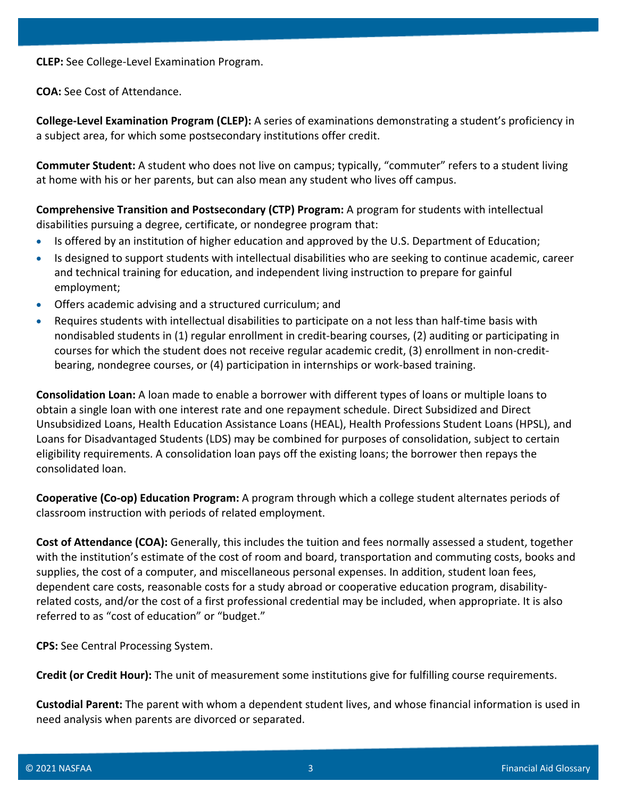**CLEP:** See College-Level Examination Program.

**COA:** See Cost of Attendance.

**College-Level Examination Program (CLEP):** A series of examinations demonstrating a student's proficiency in a subject area, for which some postsecondary institutions offer credit.

**Commuter Student:** A student who does not live on campus; typically, "commuter" refers to a student living at home with his or her parents, but can also mean any student who lives off campus.

**Comprehensive Transition and Postsecondary (CTP) Program:** A program for students with intellectual disabilities pursuing a degree, certificate, or nondegree program that:

- Is offered by an institution of higher education and approved by the U.S. Department of Education;
- Is designed to support students with intellectual disabilities who are seeking to continue academic, career and technical training for education, and independent living instruction to prepare for gainful employment;
- Offers academic advising and a structured curriculum; and
- Requires students with intellectual disabilities to participate on a not less than half-time basis with nondisabled students in (1) regular enrollment in credit-bearing courses, (2) auditing or participating in courses for which the student does not receive regular academic credit, (3) enrollment in non-creditbearing, nondegree courses, or (4) participation in internships or work-based training.

**Consolidation Loan:** A loan made to enable a borrower with different types of loans or multiple loans to obtain a single loan with one interest rate and one repayment schedule. Direct Subsidized and Direct Unsubsidized Loans, Health Education Assistance Loans (HEAL), Health Professions Student Loans (HPSL), and Loans for Disadvantaged Students (LDS) may be combined for purposes of consolidation, subject to certain eligibility requirements. A consolidation loan pays off the existing loans; the borrower then repays the consolidated loan.

**Cooperative (Co-op) Education Program:** A program through which a college student alternates periods of classroom instruction with periods of related employment.

**Cost of Attendance (COA):** Generally, this includes the tuition and fees normally assessed a student, together with the institution's estimate of the cost of room and board, transportation and commuting costs, books and supplies, the cost of a computer, and miscellaneous personal expenses. In addition, student loan fees, dependent care costs, reasonable costs for a study abroad or cooperative education program, disabilityrelated costs, and/or the cost of a first professional credential may be included, when appropriate. It is also referred to as "cost of education" or "budget."

**CPS:** See Central Processing System.

**Credit (or Credit Hour):** The unit of measurement some institutions give for fulfilling course requirements.

**Custodial Parent:** The parent with whom a dependent student lives, and whose financial information is used in need analysis when parents are divorced or separated.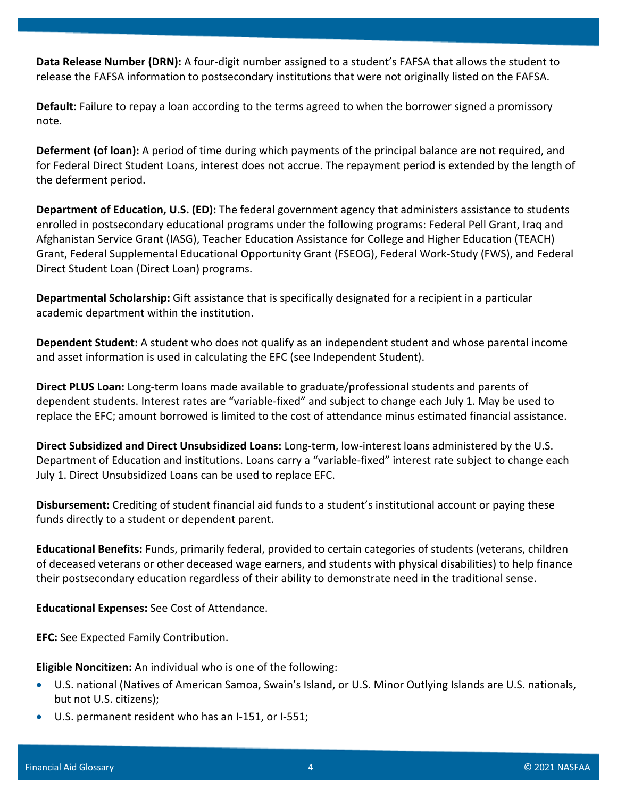**Data Release Number (DRN):** A four-digit number assigned to a student's FAFSA that allows the student to release the FAFSA information to postsecondary institutions that were not originally listed on the FAFSA.

**Default:** Failure to repay a loan according to the terms agreed to when the borrower signed a promissory note.

**Deferment (of loan):** A period of time during which payments of the principal balance are not required, and for Federal Direct Student Loans, interest does not accrue. The repayment period is extended by the length of the deferment period.

**Department of Education, U.S. (ED):** The federal government agency that administers assistance to students enrolled in postsecondary educational programs under the following programs: Federal Pell Grant, Iraq and Afghanistan Service Grant (IASG), Teacher Education Assistance for College and Higher Education (TEACH) Grant, Federal Supplemental Educational Opportunity Grant (FSEOG), Federal Work-Study (FWS), and Federal Direct Student Loan (Direct Loan) programs.

**Departmental Scholarship:** Gift assistance that is specifically designated for a recipient in a particular academic department within the institution.

**Dependent Student:** A student who does not qualify as an independent student and whose parental income and asset information is used in calculating the EFC (see Independent Student).

**Direct PLUS Loan:** Long-term loans made available to graduate/professional students and parents of dependent students. Interest rates are "variable-fixed" and subject to change each July 1. May be used to replace the EFC; amount borrowed is limited to the cost of attendance minus estimated financial assistance.

**Direct Subsidized and Direct Unsubsidized Loans:** Long-term, low-interest loans administered by the U.S. Department of Education and institutions. Loans carry a "variable-fixed" interest rate subject to change each July 1. Direct Unsubsidized Loans can be used to replace EFC.

**Disbursement:** Crediting of student financial aid funds to a student's institutional account or paying these funds directly to a student or dependent parent.

**Educational Benefits:** Funds, primarily federal, provided to certain categories of students (veterans, children of deceased veterans or other deceased wage earners, and students with physical disabilities) to help finance their postsecondary education regardless of their ability to demonstrate need in the traditional sense.

**Educational Expenses:** See Cost of Attendance.

**EFC:** See Expected Family Contribution.

**Eligible Noncitizen:** An individual who is one of the following:

- U.S. national (Natives of American Samoa, Swain's Island, or U.S. Minor Outlying Islands are U.S. nationals, but not U.S. citizens);
- U.S. permanent resident who has an I-151, or I-551;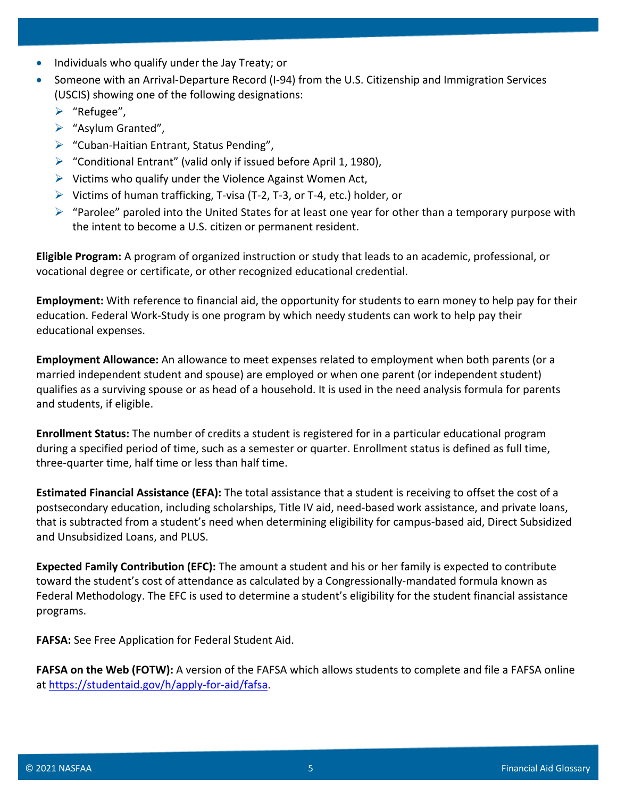- Individuals who qualify under the Jay Treaty; or
- Someone with an Arrival-Departure Record (I-94) from the U.S. Citizenship and Immigration Services (USCIS) showing one of the following designations:
	- $\blacktriangleright$  "Refugee",
	- $\triangleright$  "Asylum Granted",
	- $\triangleright$  "Cuban-Haitian Entrant, Status Pending",
	- $\triangleright$  "Conditional Entrant" (valid only if issued before April 1, 1980),
	- $\triangleright$  Victims who qualify under the Violence Against Women Act,
	- $\triangleright$  Victims of human trafficking, T-visa (T-2, T-3, or T-4, etc.) holder, or
	- $\triangleright$  "Parolee" paroled into the United States for at least one year for other than a temporary purpose with the intent to become a U.S. citizen or permanent resident.

**Eligible Program:** A program of organized instruction or study that leads to an academic, professional, or vocational degree or certificate, or other recognized educational credential.

**Employment:** With reference to financial aid, the opportunity for students to earn money to help pay for their education. Federal Work-Study is one program by which needy students can work to help pay their educational expenses.

**Employment Allowance:** An allowance to meet expenses related to employment when both parents (or a married independent student and spouse) are employed or when one parent (or independent student) qualifies as a surviving spouse or as head of a household. It is used in the need analysis formula for parents and students, if eligible.

**Enrollment Status:** The number of credits a student is registered for in a particular educational program during a specified period of time, such as a semester or quarter. Enrollment status is defined as full time, three-quarter time, half time or less than half time.

**Estimated Financial Assistance (EFA):** The total assistance that a student is receiving to offset the cost of a postsecondary education, including scholarships, Title IV aid, need-based work assistance, and private loans, that is subtracted from a student's need when determining eligibility for campus-based aid, Direct Subsidized and Unsubsidized Loans, and PLUS.

**Expected Family Contribution (EFC):** The amount a student and his or her family is expected to contribute toward the student's cost of attendance as calculated by a Congressionally-mandated formula known as Federal Methodology. The EFC is used to determine a student's eligibility for the student financial assistance programs.

**FAFSA:** See Free Application for Federal Student Aid.

**FAFSA on the Web (FOTW):** A version of the FAFSA which allows students to complete and file a FAFSA online at [https://studentaid.gov/h/apply-for-aid/fafsa.](https://studentaid.gov/h/apply-for-aid/fafsa)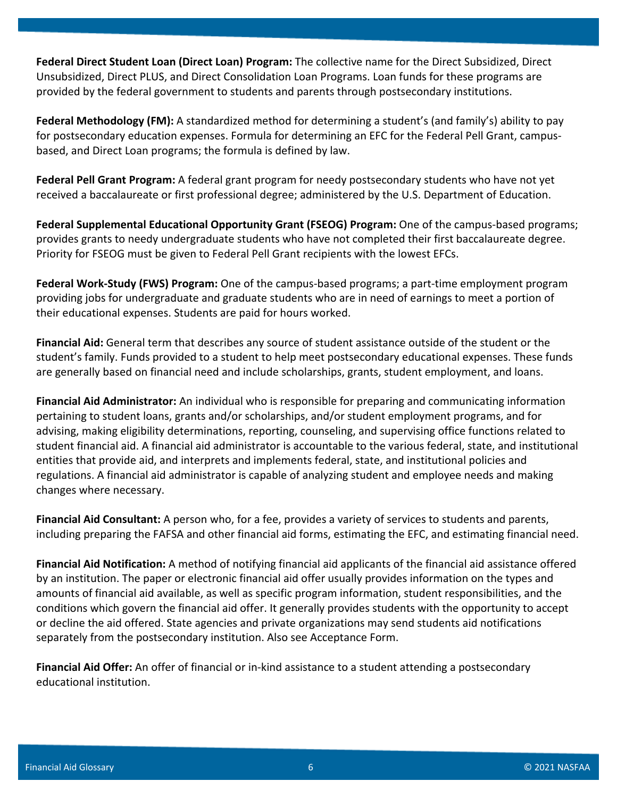**Federal Direct Student Loan (Direct Loan) Program:** The collective name for the Direct Subsidized, Direct Unsubsidized, Direct PLUS, and Direct Consolidation Loan Programs. Loan funds for these programs are provided by the federal government to students and parents through postsecondary institutions.

**Federal Methodology (FM):** A standardized method for determining a student's (and family's) ability to pay for postsecondary education expenses. Formula for determining an EFC for the Federal Pell Grant, campusbased, and Direct Loan programs; the formula is defined by law.

**Federal Pell Grant Program:** A federal grant program for needy postsecondary students who have not yet received a baccalaureate or first professional degree; administered by the U.S. Department of Education.

**Federal Supplemental Educational Opportunity Grant (FSEOG) Program:** One of the campus-based programs; provides grants to needy undergraduate students who have not completed their first baccalaureate degree. Priority for FSEOG must be given to Federal Pell Grant recipients with the lowest EFCs.

**Federal Work-Study (FWS) Program:** One of the campus-based programs; a part-time employment program providing jobs for undergraduate and graduate students who are in need of earnings to meet a portion of their educational expenses. Students are paid for hours worked.

**Financial Aid:** General term that describes any source of student assistance outside of the student or the student's family. Funds provided to a student to help meet postsecondary educational expenses. These funds are generally based on financial need and include scholarships, grants, student employment, and loans.

**Financial Aid Administrator:** An individual who is responsible for preparing and communicating information pertaining to student loans, grants and/or scholarships, and/or student employment programs, and for advising, making eligibility determinations, reporting, counseling, and supervising office functions related to student financial aid. A financial aid administrator is accountable to the various federal, state, and institutional entities that provide aid, and interprets and implements federal, state, and institutional policies and regulations. A financial aid administrator is capable of analyzing student and employee needs and making changes where necessary.

**Financial Aid Consultant:** A person who, for a fee, provides a variety of services to students and parents, including preparing the FAFSA and other financial aid forms, estimating the EFC, and estimating financial need.

**Financial Aid Notification:** A method of notifying financial aid applicants of the financial aid assistance offered by an institution. The paper or electronic financial aid offer usually provides information on the types and amounts of financial aid available, as well as specific program information, student responsibilities, and the conditions which govern the financial aid offer. It generally provides students with the opportunity to accept or decline the aid offered. State agencies and private organizations may send students aid notifications separately from the postsecondary institution. Also see Acceptance Form.

**Financial Aid Offer:** An offer of financial or in-kind assistance to a student attending a postsecondary educational institution.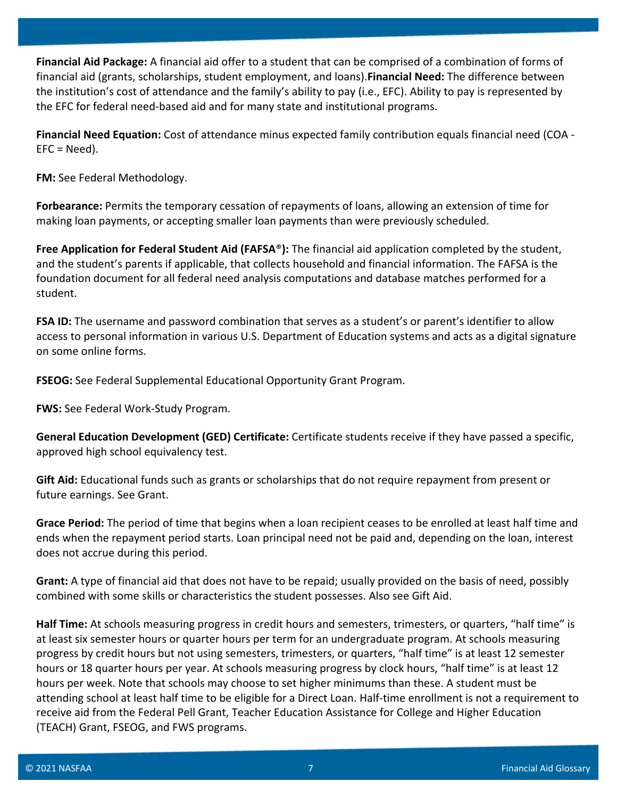**Financial Aid Package:** A financial aid offer to a student that can be comprised of a combination of forms of financial aid (grants, scholarships, student employment, and loans).**Financial Need:** The difference between the institution's cost of attendance and the family's ability to pay (i.e., EFC). Ability to pay is represented by the EFC for federal need-based aid and for many state and institutional programs.

**Financial Need Equation:** Cost of attendance minus expected family contribution equals financial need (COA - EFC = Need).

**FM:** See Federal Methodology.

**Forbearance:** Permits the temporary cessation of repayments of loans, allowing an extension of time for making loan payments, or accepting smaller loan payments than were previously scheduled.

**Free Application for Federal Student Aid (FAFSA**®**):** The financial aid application completed by the student, and the student's parents if applicable, that collects household and financial information. The FAFSA is the foundation document for all federal need analysis computations and database matches performed for a student.

**FSA ID:** The username and password combination that serves as a student's or parent's identifier to allow access to personal information in various U.S. Department of Education systems and acts as a digital signature on some online forms.

**FSEOG:** See Federal Supplemental Educational Opportunity Grant Program.

**FWS:** See Federal Work-Study Program.

**General Education Development (GED) Certificate:** Certificate students receive if they have passed a specific, approved high school equivalency test.

**Gift Aid:** Educational funds such as grants or scholarships that do not require repayment from present or future earnings. See Grant.

**Grace Period:** The period of time that begins when a loan recipient ceases to be enrolled at least half time and ends when the repayment period starts. Loan principal need not be paid and, depending on the loan, interest does not accrue during this period.

**Grant:** A type of financial aid that does not have to be repaid; usually provided on the basis of need, possibly combined with some skills or characteristics the student possesses. Also see Gift Aid.

**Half Time:** At schools measuring progress in credit hours and semesters, trimesters, or quarters, "half time" is at least six semester hours or quarter hours per term for an undergraduate program. At schools measuring progress by credit hours but not using semesters, trimesters, or quarters, "half time" is at least 12 semester hours or 18 quarter hours per year. At schools measuring progress by clock hours, "half time" is at least 12 hours per week. Note that schools may choose to set higher minimums than these. A student must be attending school at least half time to be eligible for a Direct Loan. Half-time enrollment is not a requirement to receive aid from the Federal Pell Grant, Teacher Education Assistance for College and Higher Education (TEACH) Grant, FSEOG, and FWS programs.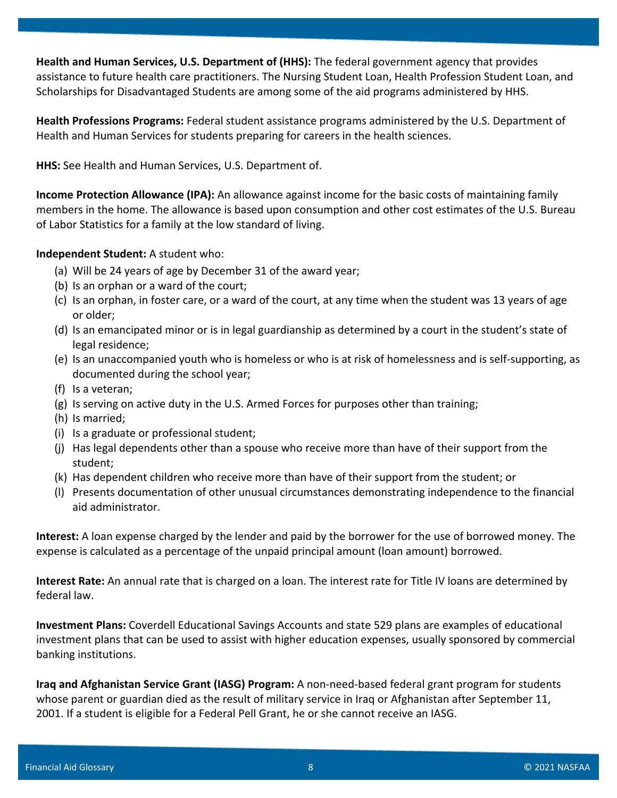**Health and Human Services, U.S. Department of (HHS):** The federal government agency that provides assistance to future health care practitioners. The Nursing Student Loan, Health Profession Student Loan, and Scholarships for Disadvantaged Students are among some of the aid programs administered by HHS.

**Health Professions Programs:** Federal student assistance programs administered by the U.S. Department of Health and Human Services for students preparing for careers in the health sciences.

**HHS:** See Health and Human Services, U.S. Department of.

**Income Protection Allowance (IPA):** An allowance against income for the basic costs of maintaining family members in the home. The allowance is based upon consumption and other cost estimates of the U.S. Bureau of Labor Statistics for a family at the low standard of living.

**Independent Student:** A student who:

- (a) Will be 24 years of age by December 31 of the award year;
- (b) Is an orphan or a ward of the court;
- (c) Is an orphan, in foster care, or a ward of the court, at any time when the student was 13 years of age or older;
- (d) Is an emancipated minor or is in legal guardianship as determined by a court in the student's state of legal residence;
- (e) Is an unaccompanied youth who is homeless or who is at risk of homelessness and is self-supporting, as documented during the school year;
- (f) Is a veteran;
- (g) Is serving on active duty in the U.S. Armed Forces for purposes other than training;
- (h) Is married;
- (i) Is a graduate or professional student;
- (j) Has legal dependents other than a spouse who receive more than have of their support from the student;
- (k) Has dependent children who receive more than have of their support from the student; or
- (l) Presents documentation of other unusual circumstances demonstrating independence to the financial aid administrator.

**Interest:** A loan expense charged by the lender and paid by the borrower for the use of borrowed money. The expense is calculated as a percentage of the unpaid principal amount (loan amount) borrowed.

**Interest Rate:** An annual rate that is charged on a loan. The interest rate for Title IV loans are determined by federal law.

**Investment Plans:** Coverdell Educational Savings Accounts and state 529 plans are examples of educational investment plans that can be used to assist with higher education expenses, usually sponsored by commercial banking institutions.

**Iraq and Afghanistan Service Grant (IASG) Program:** A non-need-based federal grant program for students whose parent or guardian died as the result of military service in Iraq or Afghanistan after September 11, 2001. If a student is eligible for a Federal Pell Grant, he or she cannot receive an IASG.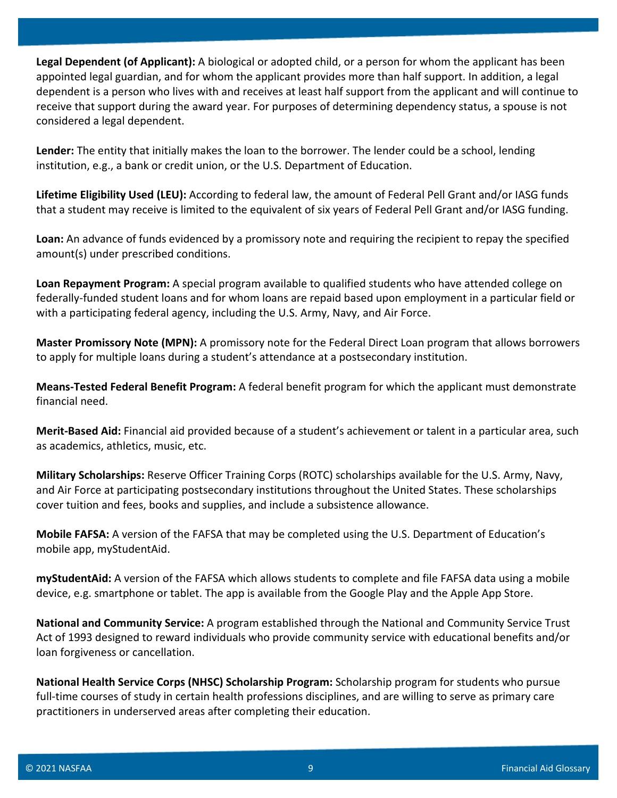**Legal Dependent (of Applicant):** A biological or adopted child, or a person for whom the applicant has been appointed legal guardian, and for whom the applicant provides more than half support. In addition, a legal dependent is a person who lives with and receives at least half support from the applicant and will continue to receive that support during the award year. For purposes of determining dependency status, a spouse is not considered a legal dependent.

**Lender:** The entity that initially makes the loan to the borrower. The lender could be a school, lending institution, e.g., a bank or credit union, or the U.S. Department of Education.

**Lifetime Eligibility Used (LEU):** According to federal law, the amount of Federal Pell Grant and/or IASG funds that a student may receive is limited to the equivalent of six years of Federal Pell Grant and/or IASG funding.

**Loan:** An advance of funds evidenced by a promissory note and requiring the recipient to repay the specified amount(s) under prescribed conditions.

**Loan Repayment Program:** A special program available to qualified students who have attended college on federally-funded student loans and for whom loans are repaid based upon employment in a particular field or with a participating federal agency, including the U.S. Army, Navy, and Air Force.

**Master Promissory Note (MPN):** A promissory note for the Federal Direct Loan program that allows borrowers to apply for multiple loans during a student's attendance at a postsecondary institution.

**Means-Tested Federal Benefit Program:** A federal benefit program for which the applicant must demonstrate financial need.

**Merit-Based Aid:** Financial aid provided because of a student's achievement or talent in a particular area, such as academics, athletics, music, etc.

**Military Scholarships:** Reserve Officer Training Corps (ROTC) scholarships available for the U.S. Army, Navy, and Air Force at participating postsecondary institutions throughout the United States. These scholarships cover tuition and fees, books and supplies, and include a subsistence allowance.

**Mobile FAFSA:** A version of the FAFSA that may be completed using the U.S. Department of Education's mobile app, myStudentAid.

**myStudentAid:** A version of the FAFSA which allows students to complete and file FAFSA data using a mobile device, e.g. smartphone or tablet. The app is available from the Google Play and the Apple App Store.

**National and Community Service:** A program established through the National and Community Service Trust Act of 1993 designed to reward individuals who provide community service with educational benefits and/or loan forgiveness or cancellation.

**National Health Service Corps (NHSC) Scholarship Program:** Scholarship program for students who pursue full-time courses of study in certain health professions disciplines, and are willing to serve as primary care practitioners in underserved areas after completing their education.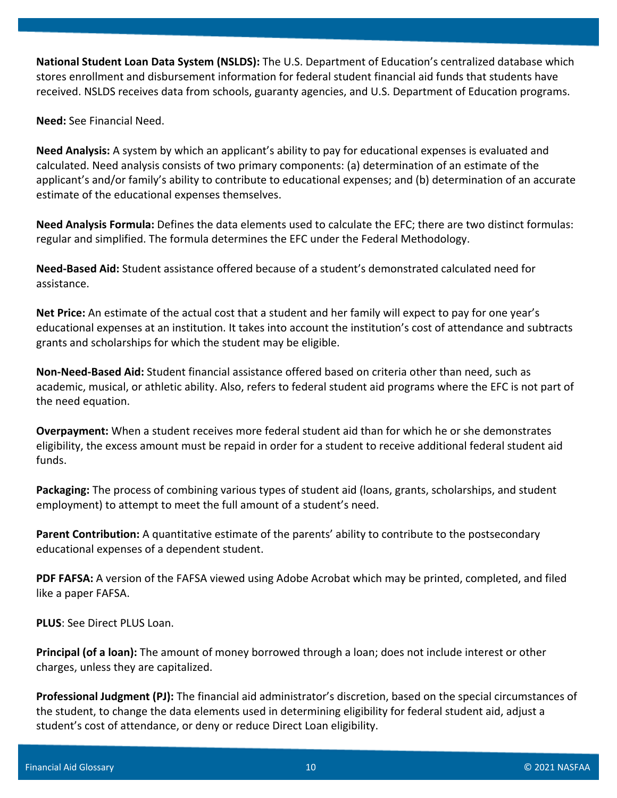**National Student Loan Data System (NSLDS):** The U.S. Department of Education's centralized database which stores enrollment and disbursement information for federal student financial aid funds that students have received. NSLDS receives data from schools, guaranty agencies, and U.S. Department of Education programs.

**Need:** See Financial Need.

**Need Analysis:** A system by which an applicant's ability to pay for educational expenses is evaluated and calculated. Need analysis consists of two primary components: (a) determination of an estimate of the applicant's and/or family's ability to contribute to educational expenses; and (b) determination of an accurate estimate of the educational expenses themselves.

**Need Analysis Formula:** Defines the data elements used to calculate the EFC; there are two distinct formulas: regular and simplified. The formula determines the EFC under the Federal Methodology.

**Need-Based Aid:** Student assistance offered because of a student's demonstrated calculated need for assistance.

**Net Price:** An estimate of the actual cost that a student and her family will expect to pay for one year's educational expenses at an institution. It takes into account the institution's cost of attendance and subtracts grants and scholarships for which the student may be eligible.

**Non-Need-Based Aid:** Student financial assistance offered based on criteria other than need, such as academic, musical, or athletic ability. Also, refers to federal student aid programs where the EFC is not part of the need equation.

**Overpayment:** When a student receives more federal student aid than for which he or she demonstrates eligibility, the excess amount must be repaid in order for a student to receive additional federal student aid funds.

**Packaging:** The process of combining various types of student aid (loans, grants, scholarships, and student employment) to attempt to meet the full amount of a student's need.

**Parent Contribution:** A quantitative estimate of the parents' ability to contribute to the postsecondary educational expenses of a dependent student.

**PDF FAFSA:** A version of the FAFSA viewed using Adobe Acrobat which may be printed, completed, and filed like a paper FAFSA.

**PLUS**: See Direct PLUS Loan.

**Principal (of a loan):** The amount of money borrowed through a loan; does not include interest or other charges, unless they are capitalized.

**Professional Judgment (PJ):** The financial aid administrator's discretion, based on the special circumstances of the student, to change the data elements used in determining eligibility for federal student aid, adjust a student's cost of attendance, or deny or reduce Direct Loan eligibility.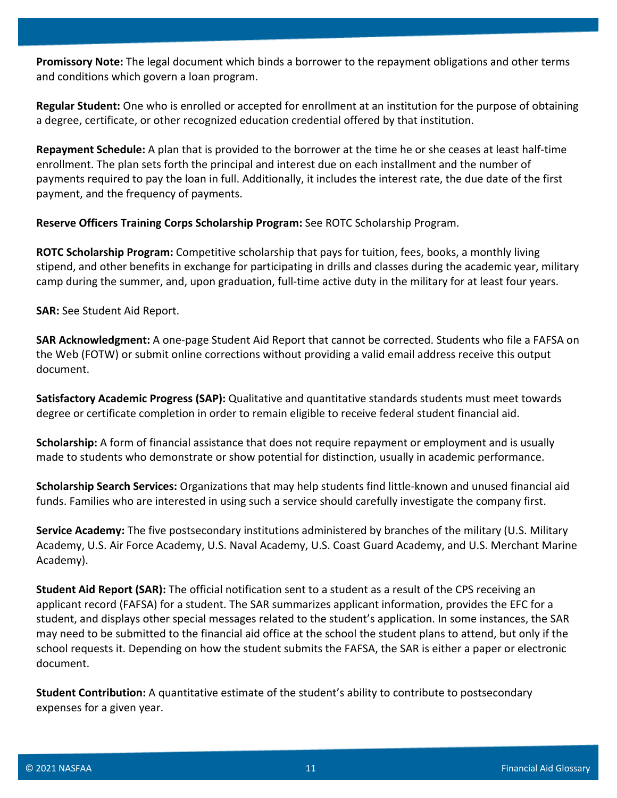**Promissory Note:** The legal document which binds a borrower to the repayment obligations and other terms and conditions which govern a loan program.

**Regular Student:** One who is enrolled or accepted for enrollment at an institution for the purpose of obtaining a degree, certificate, or other recognized education credential offered by that institution.

**Repayment Schedule:** A plan that is provided to the borrower at the time he or she ceases at least half-time enrollment. The plan sets forth the principal and interest due on each installment and the number of payments required to pay the loan in full. Additionally, it includes the interest rate, the due date of the first payment, and the frequency of payments.

**Reserve Officers Training Corps Scholarship Program:** See ROTC Scholarship Program.

**ROTC Scholarship Program:** Competitive scholarship that pays for tuition, fees, books, a monthly living stipend, and other benefits in exchange for participating in drills and classes during the academic year, military camp during the summer, and, upon graduation, full-time active duty in the military for at least four years.

**SAR:** See Student Aid Report.

**SAR Acknowledgment:** A one-page Student Aid Report that cannot be corrected. Students who file a FAFSA on the Web (FOTW) or submit online corrections without providing a valid email address receive this output document.

**Satisfactory Academic Progress (SAP):** Qualitative and quantitative standards students must meet towards degree or certificate completion in order to remain eligible to receive federal student financial aid.

**Scholarship:** A form of financial assistance that does not require repayment or employment and is usually made to students who demonstrate or show potential for distinction, usually in academic performance.

**Scholarship Search Services:** Organizations that may help students find little-known and unused financial aid funds. Families who are interested in using such a service should carefully investigate the company first.

**Service Academy:** The five postsecondary institutions administered by branches of the military (U.S. Military Academy, U.S. Air Force Academy, U.S. Naval Academy, U.S. Coast Guard Academy, and U.S. Merchant Marine Academy).

**Student Aid Report (SAR):** The official notification sent to a student as a result of the CPS receiving an applicant record (FAFSA) for a student. The SAR summarizes applicant information, provides the EFC for a student, and displays other special messages related to the student's application. In some instances, the SAR may need to be submitted to the financial aid office at the school the student plans to attend, but only if the school requests it. Depending on how the student submits the FAFSA, the SAR is either a paper or electronic document.

**Student Contribution:** A quantitative estimate of the student's ability to contribute to postsecondary expenses for a given year.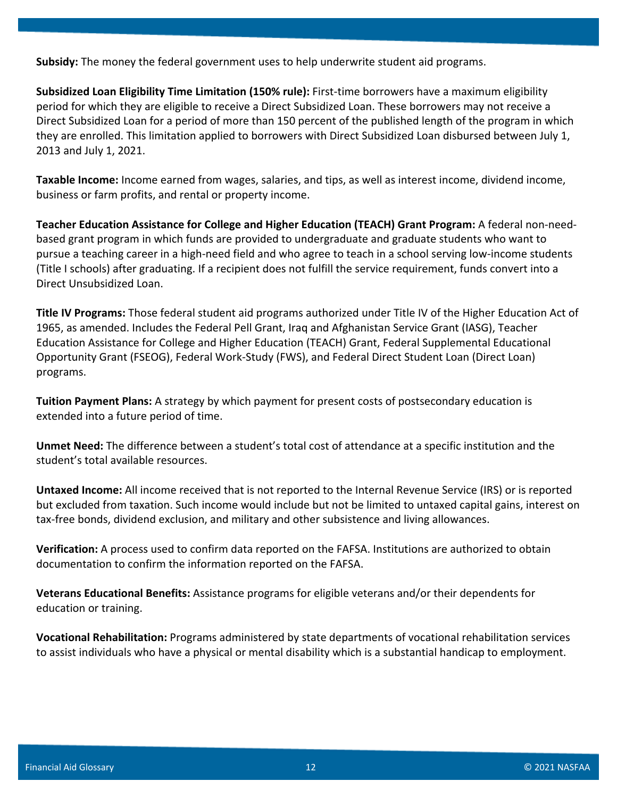**Subsidy:** The money the federal government uses to help underwrite student aid programs.

**Subsidized Loan Eligibility Time Limitation (150% rule):** First-time borrowers have a maximum eligibility period for which they are eligible to receive a Direct Subsidized Loan. These borrowers may not receive a Direct Subsidized Loan for a period of more than 150 percent of the published length of the program in which they are enrolled. This limitation applied to borrowers with Direct Subsidized Loan disbursed between July 1, 2013 and July 1, 2021.

**Taxable Income:** Income earned from wages, salaries, and tips, as well as interest income, dividend income, business or farm profits, and rental or property income.

**Teacher Education Assistance for College and Higher Education (TEACH) Grant Program:** A federal non-needbased grant program in which funds are provided to undergraduate and graduate students who want to pursue a teaching career in a high-need field and who agree to teach in a school serving low-income students (Title I schools) after graduating. If a recipient does not fulfill the service requirement, funds convert into a Direct Unsubsidized Loan.

**Title IV Programs:** Those federal student aid programs authorized under Title IV of the Higher Education Act of 1965, as amended. Includes the Federal Pell Grant, Iraq and Afghanistan Service Grant (IASG), Teacher Education Assistance for College and Higher Education (TEACH) Grant, Federal Supplemental Educational Opportunity Grant (FSEOG), Federal Work-Study (FWS), and Federal Direct Student Loan (Direct Loan) programs.

**Tuition Payment Plans:** A strategy by which payment for present costs of postsecondary education is extended into a future period of time.

**Unmet Need:** The difference between a student's total cost of attendance at a specific institution and the student's total available resources.

**Untaxed Income:** All income received that is not reported to the Internal Revenue Service (IRS) or is reported but excluded from taxation. Such income would include but not be limited to untaxed capital gains, interest on tax-free bonds, dividend exclusion, and military and other subsistence and living allowances.

**Verification:** A process used to confirm data reported on the FAFSA. Institutions are authorized to obtain documentation to confirm the information reported on the FAFSA.

**Veterans Educational Benefits:** Assistance programs for eligible veterans and/or their dependents for education or training.

**Vocational Rehabilitation:** Programs administered by state departments of vocational rehabilitation services to assist individuals who have a physical or mental disability which is a substantial handicap to employment.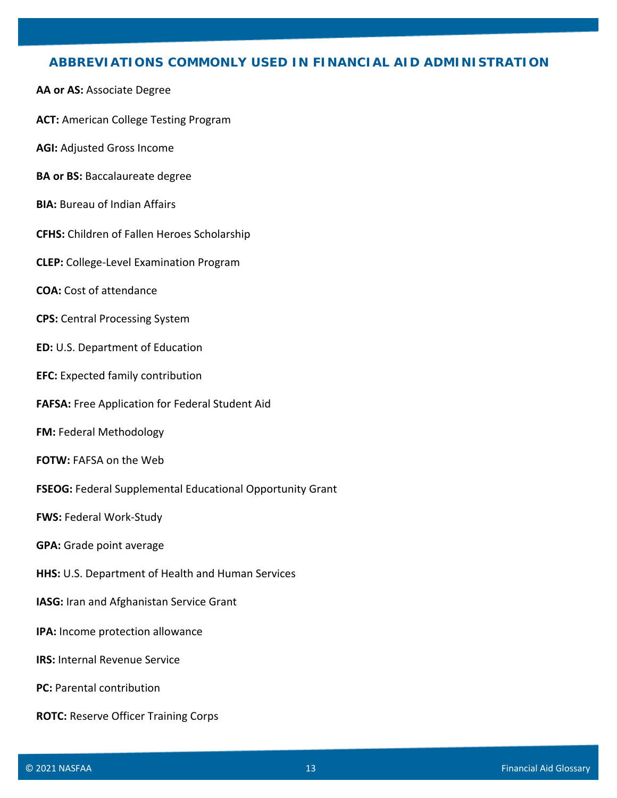## **ABBREVIATIONS COMMONLY USED IN FINANCIAL AID ADMINISTRATION**

- **AA or AS:** Associate Degree
- **ACT:** American College Testing Program
- **AGI:** Adjusted Gross Income
- **BA or BS:** Baccalaureate degree
- **BIA: Bureau of Indian Affairs**
- **CFHS:** Children of Fallen Heroes Scholarship
- **CLEP:** College-Level Examination Program
- **COA:** Cost of attendance
- **CPS:** Central Processing System
- **ED:** U.S. Department of Education
- **EFC:** Expected family contribution
- **FAFSA:** Free Application for Federal Student Aid
- **FM:** Federal Methodology
- **FOTW:** FAFSA on the Web
- **FSEOG:** Federal Supplemental Educational Opportunity Grant
- **FWS:** Federal Work-Study
- **GPA:** Grade point average
- **HHS:** U.S. Department of Health and Human Services
- **IASG:** Iran and Afghanistan Service Grant
- **IPA:** Income protection allowance
- **IRS: Internal Revenue Service**
- **PC:** Parental contribution
- **ROTC:** Reserve Officer Training Corps